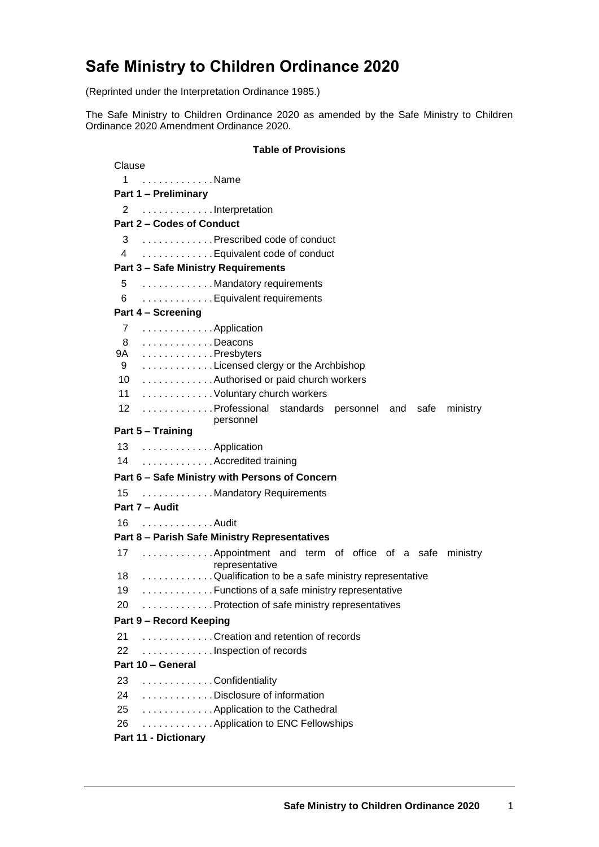# **Safe Ministry to Children Ordinance 2020**

(Reprinted under the Interpretation Ordinance 1985.)

The Safe Ministry to Children Ordinance 2020 as amended by the Safe Ministry to Children Ordinance 2020 Amendment Ordinance 2020.

#### **Table of Provisions**

| Clause                                                             |
|--------------------------------------------------------------------|
| . Name<br>1                                                        |
| <b>Part 1 - Preliminary</b>                                        |
| Interpretation<br>2                                                |
| Part 2 - Codes of Conduct                                          |
| 3 Prescribed code of conduct                                       |
| Equivalent code of conduct<br>4                                    |
| <b>Part 3 - Safe Ministry Requirements</b>                         |
| 5 Mandatory requirements                                           |
| Equivalent requirements<br>6                                       |
| Part 4 - Screening                                                 |
| 7 Application                                                      |
| Deacons<br>8                                                       |
| Presbyters<br><b>9A</b>                                            |
| Licensed clergy or the Archbishop<br>9                             |
| 10 Authorised or paid church workers                               |
| 11 Voluntary church workers                                        |
| 12 Professional standards personnel and safe ministry<br>personnel |
| Part 5 - Training                                                  |
| 13 Application                                                     |
| 14  Accredited training                                            |
| Part 6 - Safe Ministry with Persons of Concern                     |
| Mandatory Requirements<br>15                                       |
| Part 7 - Audit                                                     |
| . Audit<br>16                                                      |
| Part 8 - Parish Safe Ministry Representatives                      |
| 17  Appointment and term of office of a safe ministry              |
| representative                                                     |
| 18 Qualification to be a safe ministry representative              |
| 19 Functions of a safe ministry representative                     |
| Protection of safe ministry representatives<br>20                  |
| Part 9 - Record Keeping                                            |
| Creation and retention of records<br>21                            |
| 22<br>Inspection of records                                        |
| Part 10 - General                                                  |
| 23<br>Confidentiality                                              |
| 24 Disclosure of information                                       |
| 25 Application to the Cathedral                                    |
| 26 Application to ENC Fellowships                                  |
| <b>Part 11 - Dictionary</b>                                        |
|                                                                    |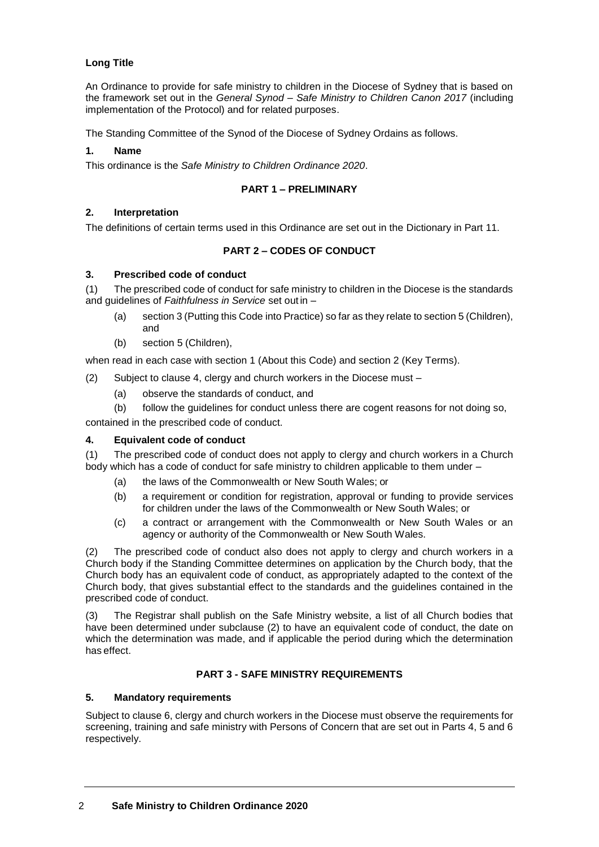# **Long Title**

An Ordinance to provide for safe ministry to children in the Diocese of Sydney that is based on the framework set out in the *General Synod – Safe Ministry to Children Canon 2017* (including implementation of the Protocol) and for related purposes.

The Standing Committee of the Synod of the Diocese of Sydney Ordains as follows.

#### **1. Name**

This ordinance is the *Safe Ministry to Children Ordinance 2020*.

### **PART 1 – PRELIMINARY**

#### **2. Interpretation**

The definitions of certain terms used in this Ordinance are set out in the Dictionary in Part 11.

### **PART 2 – CODES OF CONDUCT**

#### **3. Prescribed code of conduct**

(1) The prescribed code of conduct for safe ministry to children in the Diocese is the standards and guidelines of *Faithfulness in Service* set out in –

- (a) section 3 (Putting this Code into Practice) so far as they relate to section 5 (Children), and
- (b) section 5 (Children),

when read in each case with section 1 (About this Code) and section 2 (Key Terms).

(2) Subject to clause 4, clergy and church workers in the Diocese must –

- (a) observe the standards of conduct, and
- (b) follow the guidelines for conduct unless there are cogent reasons for not doing so,

contained in the prescribed code of conduct.

#### **4. Equivalent code of conduct**

(1) The prescribed code of conduct does not apply to clergy and church workers in a Church body which has a code of conduct for safe ministry to children applicable to them under –

- (a) the laws of the Commonwealth or New South Wales; or
- (b) a requirement or condition for registration, approval or funding to provide services for children under the laws of the Commonwealth or New South Wales; or
- (c) a contract or arrangement with the Commonwealth or New South Wales or an agency or authority of the Commonwealth or New South Wales.

(2) The prescribed code of conduct also does not apply to clergy and church workers in a Church body if the Standing Committee determines on application by the Church body, that the Church body has an equivalent code of conduct, as appropriately adapted to the context of the Church body, that gives substantial effect to the standards and the guidelines contained in the prescribed code of conduct.

(3) The Registrar shall publish on the Safe Ministry website, a list of all Church bodies that have been determined under subclause (2) to have an equivalent code of conduct, the date on which the determination was made, and if applicable the period during which the determination has effect.

### **PART 3 - SAFE MINISTRY REQUIREMENTS**

### **5. Mandatory requirements**

Subject to clause 6, clergy and church workers in the Diocese must observe the requirements for screening, training and safe ministry with Persons of Concern that are set out in Parts 4, 5 and 6 respectively.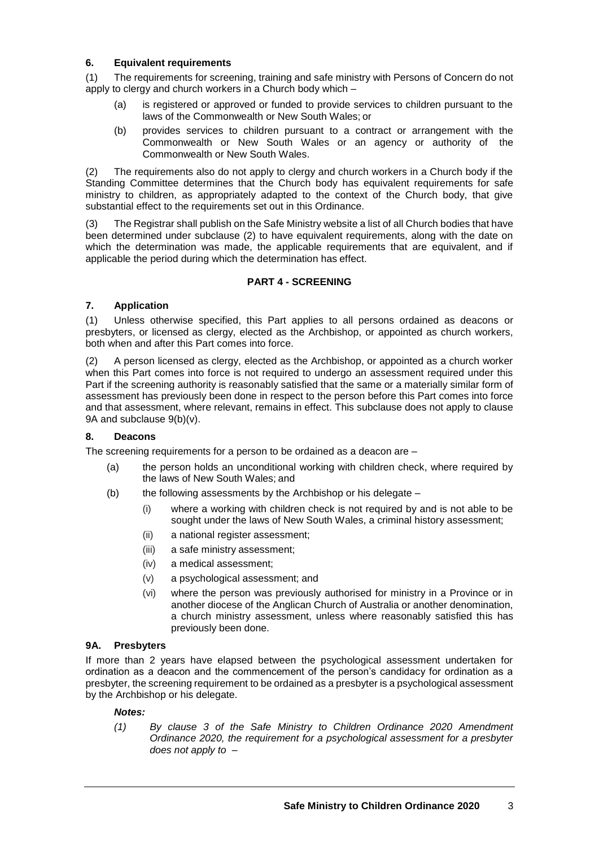### **6. Equivalent requirements**

(1) The requirements for screening, training and safe ministry with Persons of Concern do not apply to clergy and church workers in a Church body which –

- (a) is registered or approved or funded to provide services to children pursuant to the laws of the Commonwealth or New South Wales; or
- (b) provides services to children pursuant to a contract or arrangement with the Commonwealth or New South Wales or an agency or authority of the Commonwealth or New South Wales.

(2) The requirements also do not apply to clergy and church workers in a Church body if the Standing Committee determines that the Church body has equivalent requirements for safe ministry to children, as appropriately adapted to the context of the Church body, that give substantial effect to the requirements set out in this Ordinance.

(3) The Registrar shall publish on the Safe Ministry website a list of all Church bodies that have been determined under subclause (2) to have equivalent requirements, along with the date on which the determination was made, the applicable requirements that are equivalent, and if applicable the period during which the determination has effect.

# **PART 4 - SCREENING**

# **7. Application**

(1) Unless otherwise specified, this Part applies to all persons ordained as deacons or presbyters, or licensed as clergy, elected as the Archbishop, or appointed as church workers, both when and after this Part comes into force.

(2) A person licensed as clergy, elected as the Archbishop, or appointed as a church worker when this Part comes into force is not required to undergo an assessment required under this Part if the screening authority is reasonably satisfied that the same or a materially similar form of assessment has previously been done in respect to the person before this Part comes into force and that assessment, where relevant, remains in effect. This subclause does not apply to clause 9A and subclause 9(b)(v).

### **8. Deacons**

The screening requirements for a person to be ordained as a deacon are –

- (a) the person holds an unconditional working with children check, where required by the laws of New South Wales; and
- (b) the following assessments by the Archbishop or his delegate
	- (i) where a working with children check is not required by and is not able to be sought under the laws of New South Wales, a criminal history assessment;
	- (ii) a national register assessment;
	- (iii) a safe ministry assessment;
	- (iv) a medical assessment;
	- (v) a psychological assessment; and
	- (vi) where the person was previously authorised for ministry in a Province or in another diocese of the Anglican Church of Australia or another denomination, a church ministry assessment, unless where reasonably satisfied this has previously been done.

### **9A. Presbyters**

If more than 2 years have elapsed between the psychological assessment undertaken for ordination as a deacon and the commencement of the person's candidacy for ordination as a presbyter, the screening requirement to be ordained as a presbyter is a psychological assessment by the Archbishop or his delegate.

### *Notes:*

*(1) By clause 3 of the Safe Ministry to Children Ordinance 2020 Amendment Ordinance 2020, the requirement for a psychological assessment for a presbyter does not apply to –*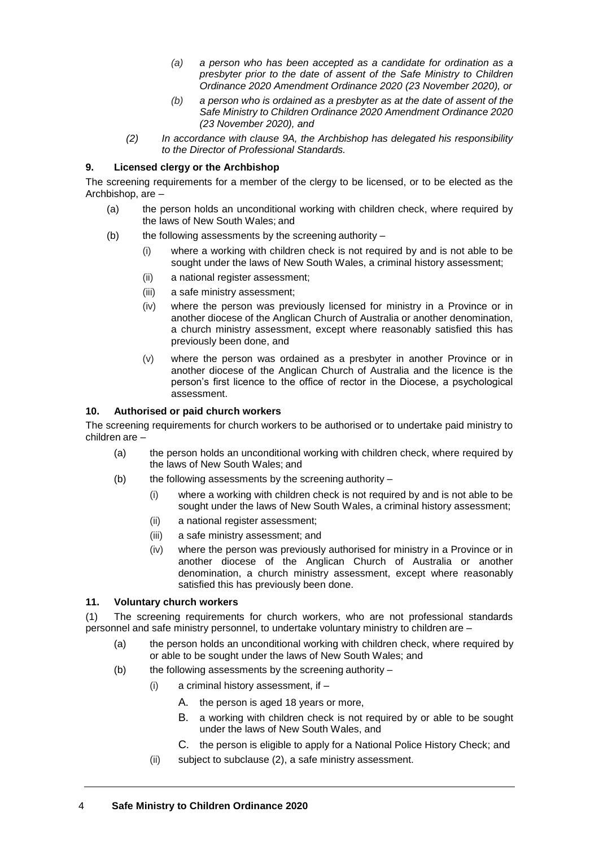- *(a) a person who has been accepted as a candidate for ordination as a presbyter prior to the date of assent of the Safe Ministry to Children Ordinance 2020 Amendment Ordinance 2020 (23 November 2020), or*
- *(b) a person who is ordained as a presbyter as at the date of assent of the Safe Ministry to Children Ordinance 2020 Amendment Ordinance 2020 (23 November 2020), and*
- *(2) In accordance with clause 9A, the Archbishop has delegated his responsibility to the Director of Professional Standards.*

### **9. Licensed clergy or the Archbishop**

The screening requirements for a member of the clergy to be licensed, or to be elected as the Archbishop, are –

- (a) the person holds an unconditional working with children check, where required by the laws of New South Wales; and
- (b) the following assessments by the screening authority  $-$ 
	- (i) where a working with children check is not required by and is not able to be sought under the laws of New South Wales, a criminal history assessment;
	- (ii) a national register assessment;
	- (iii) a safe ministry assessment;
	- (iv) where the person was previously licensed for ministry in a Province or in another diocese of the Anglican Church of Australia or another denomination, a church ministry assessment, except where reasonably satisfied this has previously been done, and
	- (v) where the person was ordained as a presbyter in another Province or in another diocese of the Anglican Church of Australia and the licence is the person's first licence to the office of rector in the Diocese, a psychological assessment.

# **10. Authorised or paid church workers**

The screening requirements for church workers to be authorised or to undertake paid ministry to children are –

- (a) the person holds an unconditional working with children check, where required by the laws of New South Wales; and
- (b) the following assessments by the screening authority  $-$ 
	- (i) where a working with children check is not required by and is not able to be sought under the laws of New South Wales, a criminal history assessment;
	- (ii) a national register assessment;
	- (iii) a safe ministry assessment; and
	- (iv) where the person was previously authorised for ministry in a Province or in another diocese of the Anglican Church of Australia or another denomination, a church ministry assessment, except where reasonably satisfied this has previously been done.

### **11. Voluntary church workers**

(1) The screening requirements for church workers, who are not professional standards personnel and safe ministry personnel, to undertake voluntary ministry to children are –

- (a) the person holds an unconditional working with children check, where required by or able to be sought under the laws of New South Wales; and
- (b) the following assessments by the screening authority  $-$ 
	- (i) a criminal history assessment, if
		- A. the person is aged 18 years or more,
		- B. a working with children check is not required by or able to be sought under the laws of New South Wales, and
		- C. the person is eligible to apply for a National Police History Check; and
	- (ii) subject to subclause (2), a safe ministry assessment.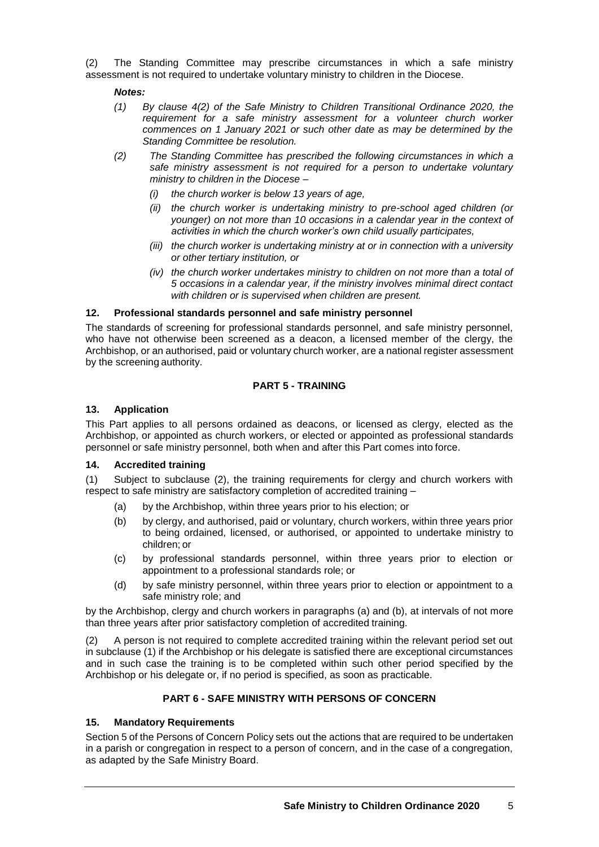(2) The Standing Committee may prescribe circumstances in which a safe ministry assessment is not required to undertake voluntary ministry to children in the Diocese.

### *Notes:*

- *(1) By clause 4(2) of the Safe Ministry to Children Transitional Ordinance 2020, the requirement for a safe ministry assessment for a volunteer church worker commences on 1 January 2021 or such other date as may be determined by the Standing Committee be resolution.*
- *(2) The Standing Committee has prescribed the following circumstances in which a safe ministry assessment is not required for a person to undertake voluntary ministry to children in the Diocese –*
	- *(i) the church worker is below 13 years of age,*
	- *(ii) the church worker is undertaking ministry to pre-school aged children (or younger) on not more than 10 occasions in a calendar year in the context of activities in which the church worker's own child usually participates,*
	- *(iii) the church worker is undertaking ministry at or in connection with a university or other tertiary institution, or*
	- *(iv) the church worker undertakes ministry to children on not more than a total of 5 occasions in a calendar year, if the ministry involves minimal direct contact with children or is supervised when children are present.*

# **12. Professional standards personnel and safe ministry personnel**

The standards of screening for professional standards personnel, and safe ministry personnel, who have not otherwise been screened as a deacon, a licensed member of the clergy, the Archbishop, or an authorised, paid or voluntary church worker, are a national register assessment by the screening authority.

# **PART 5 - TRAINING**

# **13. Application**

This Part applies to all persons ordained as deacons, or licensed as clergy, elected as the Archbishop, or appointed as church workers, or elected or appointed as professional standards personnel or safe ministry personnel, both when and after this Part comes into force.

### **14. Accredited training**

(1) Subject to subclause (2), the training requirements for clergy and church workers with respect to safe ministry are satisfactory completion of accredited training –

- (a) by the Archbishop, within three years prior to his election; or
- (b) by clergy, and authorised, paid or voluntary, church workers, within three years prior to being ordained, licensed, or authorised, or appointed to undertake ministry to children; or
- (c) by professional standards personnel, within three years prior to election or appointment to a professional standards role; or
- (d) by safe ministry personnel, within three years prior to election or appointment to a safe ministry role; and

by the Archbishop, clergy and church workers in paragraphs (a) and (b), at intervals of not more than three years after prior satisfactory completion of accredited training.

(2) A person is not required to complete accredited training within the relevant period set out in subclause (1) if the Archbishop or his delegate is satisfied there are exceptional circumstances and in such case the training is to be completed within such other period specified by the Archbishop or his delegate or, if no period is specified, as soon as practicable.

# **PART 6 - SAFE MINISTRY WITH PERSONS OF CONCERN**

# **15. Mandatory Requirements**

Section 5 of the Persons of Concern Policy sets out the actions that are required to be undertaken in a parish or congregation in respect to a person of concern, and in the case of a congregation, as adapted by the Safe Ministry Board.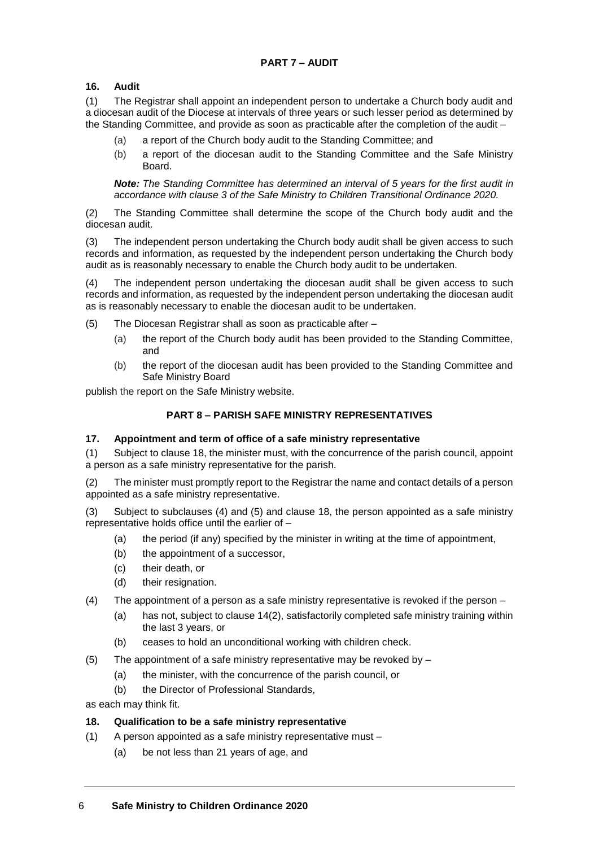# **16. Audit**

(1) The Registrar shall appoint an independent person to undertake a Church body audit and a diocesan audit of the Diocese at intervals of three years or such lesser period as determined by the Standing Committee, and provide as soon as practicable after the completion of the audit –

- (a) a report of the Church body audit to the Standing Committee; and
- (b) a report of the diocesan audit to the Standing Committee and the Safe Ministry Board.

*Note: The Standing Committee has determined an interval of 5 years for the first audit in accordance with clause 3 of the Safe Ministry to Children Transitional Ordinance 2020.*

(2) The Standing Committee shall determine the scope of the Church body audit and the diocesan audit.

(3) The independent person undertaking the Church body audit shall be given access to such records and information, as requested by the independent person undertaking the Church body audit as is reasonably necessary to enable the Church body audit to be undertaken.

(4) The independent person undertaking the diocesan audit shall be given access to such records and information, as requested by the independent person undertaking the diocesan audit as is reasonably necessary to enable the diocesan audit to be undertaken.

- (5) The Diocesan Registrar shall as soon as practicable after
	- (a) the report of the Church body audit has been provided to the Standing Committee, and
	- (b) the report of the diocesan audit has been provided to the Standing Committee and Safe Ministry Board

publish the report on the Safe Ministry website.

### **PART 8 – PARISH SAFE MINISTRY REPRESENTATIVES**

### **17. Appointment and term of office of a safe ministry representative**

(1) Subject to clause 18, the minister must, with the concurrence of the parish council, appoint a person as a safe ministry representative for the parish.

(2) The minister must promptly report to the Registrar the name and contact details of a person appointed as a safe ministry representative.

(3) Subject to subclauses (4) and (5) and clause 18, the person appointed as a safe ministry representative holds office until the earlier of  $-$ 

- (a) the period (if any) specified by the minister in writing at the time of appointment,
- (b) the appointment of a successor,
- (c) their death, or
- (d) their resignation.
- (4) The appointment of a person as a safe ministry representative is revoked if the person
	- (a) has not, subject to clause 14(2), satisfactorily completed safe ministry training within the last 3 years, or
	- (b) ceases to hold an unconditional working with children check.
- (5) The appointment of a safe ministry representative may be revoked by  $-$ 
	- (a) the minister, with the concurrence of the parish council, or
	- (b) the Director of Professional Standards,

as each may think fit.

### **18. Qualification to be a safe ministry representative**

- (1) A person appointed as a safe ministry representative must
	- (a) be not less than 21 years of age, and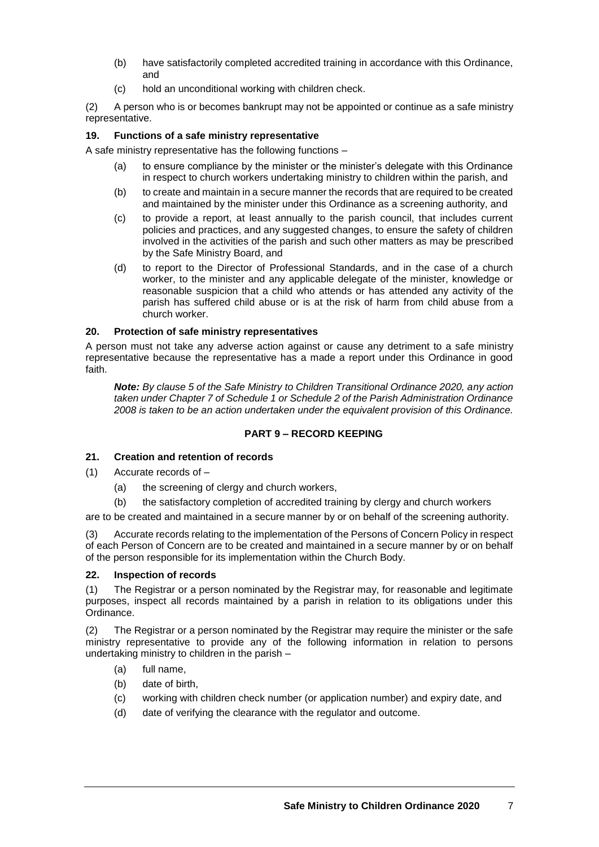- (b) have satisfactorily completed accredited training in accordance with this Ordinance, and
- (c) hold an unconditional working with children check.

(2) A person who is or becomes bankrupt may not be appointed or continue as a safe ministry representative.

# **19. Functions of a safe ministry representative**

A safe ministry representative has the following functions –

- (a) to ensure compliance by the minister or the minister's delegate with this Ordinance in respect to church workers undertaking ministry to children within the parish, and
- (b) to create and maintain in a secure manner the records that are required to be created and maintained by the minister under this Ordinance as a screening authority, and
- (c) to provide a report, at least annually to the parish council, that includes current policies and practices, and any suggested changes, to ensure the safety of children involved in the activities of the parish and such other matters as may be prescribed by the Safe Ministry Board, and
- (d) to report to the Director of Professional Standards, and in the case of a church worker, to the minister and any applicable delegate of the minister, knowledge or reasonable suspicion that a child who attends or has attended any activity of the parish has suffered child abuse or is at the risk of harm from child abuse from a church worker.

# **20. Protection of safe ministry representatives**

A person must not take any adverse action against or cause any detriment to a safe ministry representative because the representative has a made a report under this Ordinance in good faith.

*Note: By clause 5 of the Safe Ministry to Children Transitional Ordinance 2020, any action taken under Chapter 7 of Schedule 1 or Schedule 2 of the Parish Administration Ordinance 2008 is taken to be an action undertaken under the equivalent provision of this Ordinance.*

# **PART 9 – RECORD KEEPING**

### **21. Creation and retention of records**

- (1) Accurate records of
	- (a) the screening of clergy and church workers,
	- (b) the satisfactory completion of accredited training by clergy and church workers

are to be created and maintained in a secure manner by or on behalf of the screening authority.

(3) Accurate records relating to the implementation of the Persons of Concern Policy in respect of each Person of Concern are to be created and maintained in a secure manner by or on behalf of the person responsible for its implementation within the Church Body.

### **22. Inspection of records**

(1) The Registrar or a person nominated by the Registrar may, for reasonable and legitimate purposes, inspect all records maintained by a parish in relation to its obligations under this Ordinance.

(2) The Registrar or a person nominated by the Registrar may require the minister or the safe ministry representative to provide any of the following information in relation to persons undertaking ministry to children in the parish –

- (a) full name,
- (b) date of birth,
- (c) working with children check number (or application number) and expiry date, and
- (d) date of verifying the clearance with the regulator and outcome.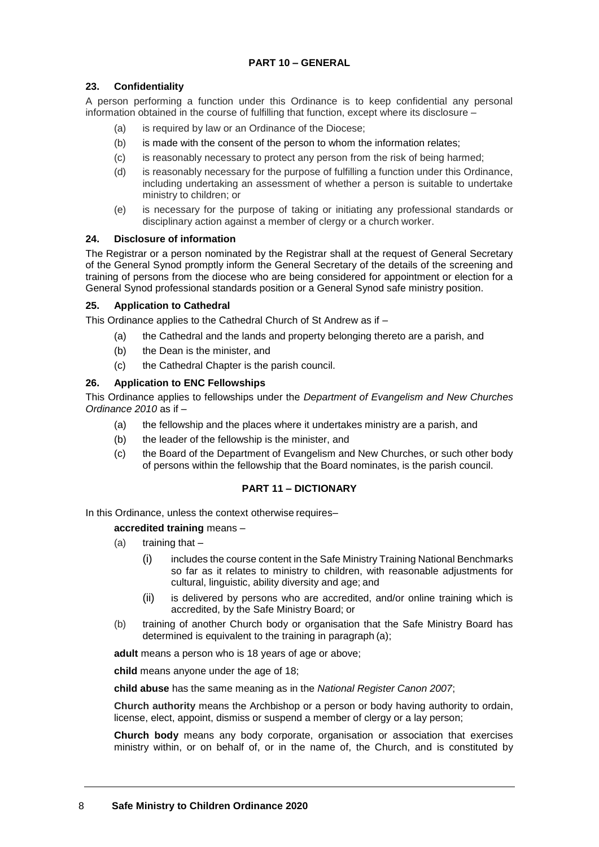### **PART 10 – GENERAL**

# **23. Confidentiality**

A person performing a function under this Ordinance is to keep confidential any personal information obtained in the course of fulfilling that function, except where its disclosure –

- (a) is required by law or an Ordinance of the Diocese;
- (b) is made with the consent of the person to whom the information relates;
- (c) is reasonably necessary to protect any person from the risk of being harmed;
- (d) is reasonably necessary for the purpose of fulfilling a function under this Ordinance, including undertaking an assessment of whether a person is suitable to undertake ministry to children; or
- (e) is necessary for the purpose of taking or initiating any professional standards or disciplinary action against a member of clergy or a church worker.

### **24. Disclosure of information**

The Registrar or a person nominated by the Registrar shall at the request of General Secretary of the General Synod promptly inform the General Secretary of the details of the screening and training of persons from the diocese who are being considered for appointment or election for a General Synod professional standards position or a General Synod safe ministry position.

### **25. Application to Cathedral**

This Ordinance applies to the Cathedral Church of St Andrew as if –

- (a) the Cathedral and the lands and property belonging thereto are a parish, and
- (b) the Dean is the minister, and
- (c) the Cathedral Chapter is the parish council.

#### **26. Application to ENC Fellowships**

This Ordinance applies to fellowships under the *Department of Evangelism and New Churches Ordinance 2010* as if –

- (a) the fellowship and the places where it undertakes ministry are a parish, and
- (b) the leader of the fellowship is the minister, and
- (c) the Board of the Department of Evangelism and New Churches, or such other body of persons within the fellowship that the Board nominates, is the parish council.

### **PART 11 – DICTIONARY**

In this Ordinance, unless the context otherwise requires–

### **accredited training** means –

- $(a)$  training that  $-$ 
	- (i) includes the course content in the Safe Ministry Training National Benchmarks so far as it relates to ministry to children, with reasonable adjustments for cultural, linguistic, ability diversity and age; and
	- (ii) is delivered by persons who are accredited, and/or online training which is accredited, by the Safe Ministry Board; or
- (b) training of another Church body or organisation that the Safe Ministry Board has determined is equivalent to the training in paragraph (a);

**adult** means a person who is 18 years of age or above;

**child** means anyone under the age of 18;

**child abuse** has the same meaning as in the *National Register Canon 2007*;

**Church authority** means the Archbishop or a person or body having authority to ordain, license, elect, appoint, dismiss or suspend a member of clergy or a lay person;

**Church body** means any body corporate, organisation or association that exercises ministry within, or on behalf of, or in the name of, the Church, and is constituted by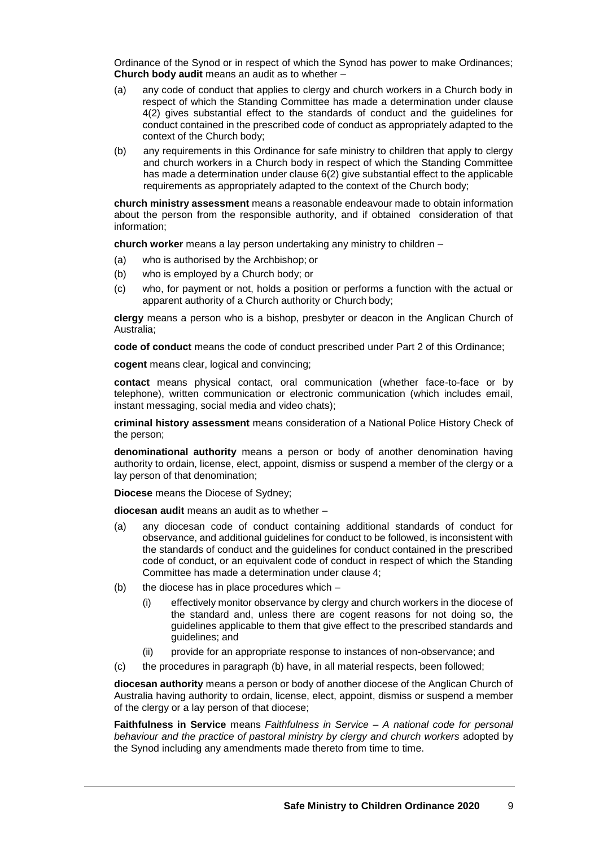Ordinance of the Synod or in respect of which the Synod has power to make Ordinances; **Church body audit** means an audit as to whether –

- (a) any code of conduct that applies to clergy and church workers in a Church body in respect of which the Standing Committee has made a determination under clause 4(2) gives substantial effect to the standards of conduct and the guidelines for conduct contained in the prescribed code of conduct as appropriately adapted to the context of the Church body;
- (b) any requirements in this Ordinance for safe ministry to children that apply to clergy and church workers in a Church body in respect of which the Standing Committee has made a determination under clause 6(2) give substantial effect to the applicable requirements as appropriately adapted to the context of the Church body;

**church ministry assessment** means a reasonable endeavour made to obtain information about the person from the responsible authority, and if obtained consideration of that information;

**church worker** means a lay person undertaking any ministry to children –

- (a) who is authorised by the Archbishop; or
- (b) who is employed by a Church body; or
- (c) who, for payment or not, holds a position or performs a function with the actual or apparent authority of a Church authority or Church body;

**clergy** means a person who is a bishop, presbyter or deacon in the Anglican Church of Australia;

**code of conduct** means the code of conduct prescribed under Part 2 of this Ordinance;

**cogent** means clear, logical and convincing;

**contact** means physical contact, oral communication (whether face-to-face or by telephone), written communication or electronic communication (which includes email, instant messaging, social media and video chats);

**criminal history assessment** means consideration of a National Police History Check of the person;

**denominational authority** means a person or body of another denomination having authority to ordain, license, elect, appoint, dismiss or suspend a member of the clergy or a lay person of that denomination;

**Diocese** means the Diocese of Sydney;

**diocesan audit** means an audit as to whether –

- (a) any diocesan code of conduct containing additional standards of conduct for observance, and additional guidelines for conduct to be followed, is inconsistent with the standards of conduct and the guidelines for conduct contained in the prescribed code of conduct, or an equivalent code of conduct in respect of which the Standing Committee has made a determination under clause 4;
- (b) the diocese has in place procedures which
	- (i) effectively monitor observance by clergy and church workers in the diocese of the standard and, unless there are cogent reasons for not doing so, the guidelines applicable to them that give effect to the prescribed standards and guidelines; and
	- (ii) provide for an appropriate response to instances of non-observance; and
- (c) the procedures in paragraph (b) have, in all material respects, been followed;

**diocesan authority** means a person or body of another diocese of the Anglican Church of Australia having authority to ordain, license, elect, appoint, dismiss or suspend a member of the clergy or a lay person of that diocese;

**Faithfulness in Service** means *Faithfulness in Service – A national code for personal behaviour and the practice of pastoral ministry by clergy and church workers* adopted by the Synod including any amendments made thereto from time to time.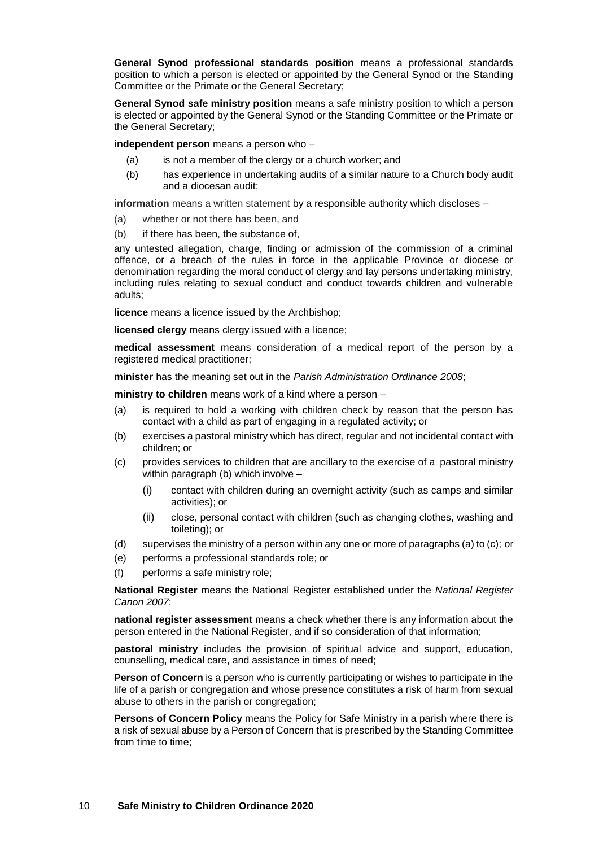**General Synod professional standards position** means a professional standards position to which a person is elected or appointed by the General Synod or the Standing Committee or the Primate or the General Secretary;

**General Synod safe ministry position** means a safe ministry position to which a person is elected or appointed by the General Synod or the Standing Committee or the Primate or the General Secretary;

**independent person** means a person who –

- (a) is not a member of the clergy or a church worker; and
- (b) has experience in undertaking audits of a similar nature to a Church body audit and a diocesan audit;

**information** means a written statement by a responsible authority which discloses –

- (a) whether or not there has been, and
- (b) if there has been, the substance of,

any untested allegation, charge, finding or admission of the commission of a criminal offence, or a breach of the rules in force in the applicable Province or diocese or denomination regarding the moral conduct of clergy and lay persons undertaking ministry, including rules relating to sexual conduct and conduct towards children and vulnerable adults;

**licence** means a licence issued by the Archbishop;

**licensed clergy** means clergy issued with a licence;

**medical assessment** means consideration of a medical report of the person by a registered medical practitioner;

**minister** has the meaning set out in the *Parish Administration Ordinance 2008*;

**ministry to children** means work of a kind where a person –

- (a) is required to hold a working with children check by reason that the person has contact with a child as part of engaging in a regulated activity; or
- (b) exercises a pastoral ministry which has direct, regular and not incidental contact with children; or
- (c) provides services to children that are ancillary to the exercise of a pastoral ministry within paragraph (b) which involve –
	- (i) contact with children during an overnight activity (such as camps and similar activities); or
	- (ii) close, personal contact with children (such as changing clothes, washing and toileting); or
- (d) supervises the ministry of a person within any one or more of paragraphs (a) to (c); or
- (e) performs a professional standards role; or
- (f) performs a safe ministry role;

**National Register** means the National Register established under the *National Register Canon 2007*;

**national register assessment** means a check whether there is any information about the person entered in the National Register, and if so consideration of that information;

**pastoral ministry** includes the provision of spiritual advice and support, education, counselling, medical care, and assistance in times of need;

**Person of Concern** is a person who is currently participating or wishes to participate in the life of a parish or congregation and whose presence constitutes a risk of harm from sexual abuse to others in the parish or congregation;

**Persons of Concern Policy** means the Policy for Safe Ministry in a parish where there is a risk of sexual abuse by a Person of Concern that is prescribed by the Standing Committee from time to time: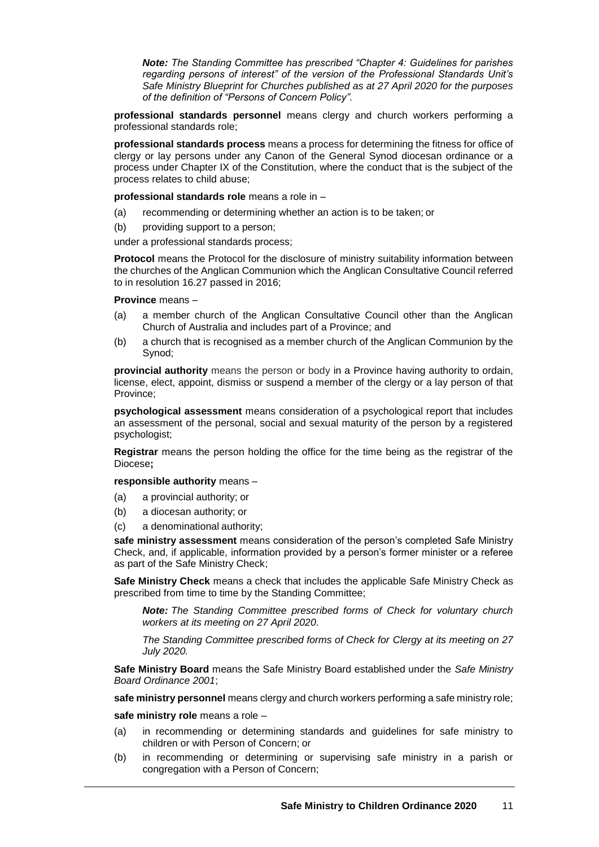*Note: The Standing Committee has prescribed "Chapter 4: Guidelines for parishes regarding persons of interest" of the version of the Professional Standards Unit's Safe Ministry Blueprint for Churches published as at 27 April 2020 for the purposes of the definition of "Persons of Concern Policy".*

**professional standards personnel** means clergy and church workers performing a professional standards role;

**professional standards process** means a process for determining the fitness for office of clergy or lay persons under any Canon of the General Synod diocesan ordinance or a process under Chapter IX of the Constitution, where the conduct that is the subject of the process relates to child abuse;

**professional standards role** means a role in –

- (a) recommending or determining whether an action is to be taken; or
- (b) providing support to a person;

under a professional standards process;

**Protocol** means the Protocol for the disclosure of ministry suitability information between the churches of the Anglican Communion which the Anglican Consultative Council referred to in resolution 16.27 passed in 2016;

#### **Province** means –

- (a) a member church of the Anglican Consultative Council other than the Anglican Church of Australia and includes part of a Province; and
- (b) a church that is recognised as a member church of the Anglican Communion by the Synod;

**provincial authority** means the person or body in a Province having authority to ordain, license, elect, appoint, dismiss or suspend a member of the clergy or a lay person of that Province;

**psychological assessment** means consideration of a psychological report that includes an assessment of the personal, social and sexual maturity of the person by a registered psychologist;

**Registrar** means the person holding the office for the time being as the registrar of the Diocese**;**

**responsible authority** means –

- (a) a provincial authority; or
- (b) a diocesan authority; or
- (c) a denominational authority;

**safe ministry assessment** means consideration of the person's completed Safe Ministry Check, and, if applicable, information provided by a person's former minister or a referee as part of the Safe Ministry Check;

**Safe Ministry Check** means a check that includes the applicable Safe Ministry Check as prescribed from time to time by the Standing Committee;

*Note: The Standing Committee prescribed forms of Check for voluntary church workers at its meeting on 27 April 2020.*

*The Standing Committee prescribed forms of Check for Clergy at its meeting on 27 July 2020.*

**Safe Ministry Board** means the Safe Ministry Board established under the *Safe Ministry Board Ordinance 2001*;

**safe ministry personnel** means clergy and church workers performing a safe ministry role;

**safe ministry role** means a role –

- (a) in recommending or determining standards and guidelines for safe ministry to children or with Person of Concern; or
- (b) in recommending or determining or supervising safe ministry in a parish or congregation with a Person of Concern;